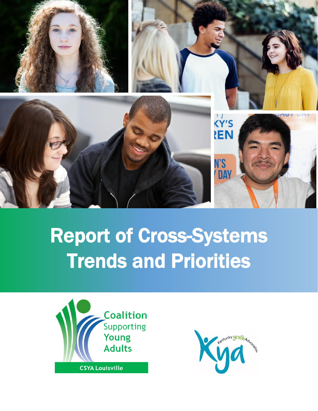

# Report of Cross-Systems Trends and Priorities



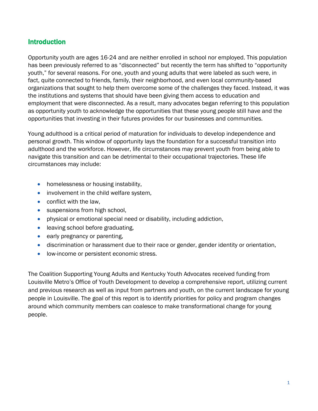#### Introduction

Opportunity youth are ages 16-24 and are neither enrolled in school nor employed. This population has been previously referred to as "disconnected" but recently the term has shifted to "opportunity youth," for several reasons. For one, youth and young adults that were labeled as such were, in fact, quite connected to friends, family, their neighborhood, and even local community-based organizations that sought to help them overcome some of the challenges they faced. Instead, it was the institutions and systems that should have been giving them access to education and employment that were disconnected. As a result, many advocates began referring to this population as opportunity youth to acknowledge the opportunities that these young people still have and the opportunities that investing in their futures provides for our businesses and communities.

Young adulthood is a critical period of maturation for individuals to develop independence and personal growth. This window of opportunity lays the foundation for a successful transition into adulthood and the workforce. However, life circumstances may prevent youth from being able to navigate this transition and can be detrimental to their occupational trajectories. These life circumstances may include:

- homelessness or housing instability,
- involvement in the child welfare system,
- conflict with the law.
- suspensions from high school,
- physical or emotional special need or disability, including addiction,
- leaving school before graduating,
- early pregnancy or parenting,
- discrimination or harassment due to their race or gender, gender identity or orientation,
- low-income or persistent economic stress.

The Coalition Supporting Young Adults and Kentucky Youth Advocates received funding from Louisville Metro's Office of Youth Development to develop a comprehensive report, utilizing current and previous research as well as input from partners and youth, on the current landscape for young people in Louisville. The goal of this report is to identify priorities for policy and program changes around which community members can coalesce to make transformational change for young people.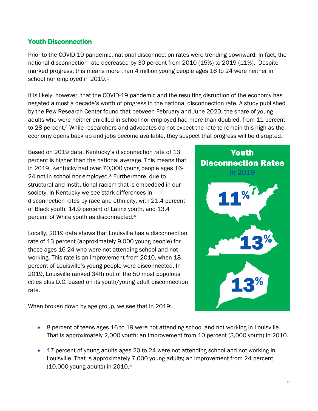# Youth Disconnection

Prior to the COVID-19 pandemic, national disconnection rates were trending downward. In fact, the national disconnection rate decreased by 30 percent from 2010 (15%) to 2019 (11%). Despite marked progress, this means more than 4 million young people ages 16 to 24 were neither in school nor employed in 2019.<sup>1</sup>

It is likely, however, that the COVID-19 pandemic and the resulting disruption of the economy has negated almost a decade's worth of progress in the national disconnection rate. A study published by the Pew Research Center found that between February and June 2020, the share of young adults who were neither enrolled in school nor employed had more than doubled, from 11 percent to 28 percent. <sup>2</sup> While researchers and advocates do not expect the rate to remain this high as the economy opens back up and jobs become available, they suspect that progress will be disrupted.

Based on 2019 data, Kentucky's disconnection rate of 13 percent is higher than the national average. This means that in 2019, Kentucky had over 70,000 young people ages 16- 24 not in school nor employed.<sup>3</sup> Furthermore, due to structural and institutional racism that is embedded in our society, in Kentucky we see stark differences in disconnection rates by race and ethnicity, with 21.4 percent of Black youth, 14.9 percent of Latinx youth, and 13.4 percent of White youth as disconnected. 4

Locally, 2019 data shows that Louisville has a disconnection rate of 13 percent (approximately 9,000 young people) for those ages 16-24 who were not attending school and not working. This rate is an improvement from 2010, when 18 percent of Louisville's young people were disconnected. In 2019, Louisville ranked 34th out of the 50 most populous cities plus D.C. based on its youth/young adult disconnection rate.

**Youth Disconnection Rates** in 2019

When broken down by age group, we see that in 2019:

- 8 percent of teens ages 16 to 19 were not attending school and not working in Louisville. That is approximately 2,000 youth; an improvement from 10 percent (3,000 youth) in 2010.
- 17 percent of young adults ages 20 to 24 were not attending school and not working in Louisville. That is approximately 7,000 young adults; an improvement from 24 percent (10,000 young adults) in 2010. 5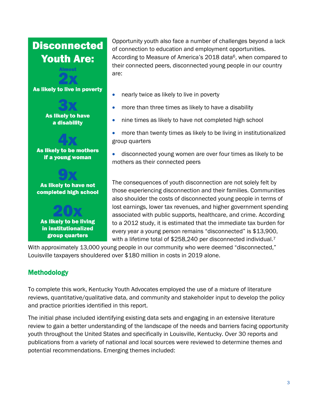# **Disconnected Youth Are:** As likely to live in poverty **As likely to have** a disability **As likely to be mothers** if a young woman As likely to have not completed high school

As likely to be living in institutionalized group quarters

Opportunity youth also face a number of challenges beyond a lack of connection to education and employment opportunities. According to Measure of America's 2018 data<sup>6</sup>, when compared to their connected peers, disconnected young people in our country are:

- nearly twice as likely to live in poverty
- more than three times as likely to have a disability
- nine times as likely to have not completed high school
- more than twenty times as likely to be living in institutionalized group quarters
- disconnected young women are over four times as likely to be mothers as their connected peers

The consequences of youth disconnection are not solely felt by those experiencing disconnection and their families. Communities also shoulder the costs of disconnected young people in terms of lost earnings, lower tax revenues, and higher government spending associated with public supports, healthcare, and crime. According to a 2012 study, it is estimated that the immediate tax burden for every year a young person remains "disconnected" is \$13,900, with a lifetime total of \$258,240 per disconnected individual.<sup>7</sup>

With approximately 13,000 young people in our community who were deemed "disconnected," Louisville taxpayers shouldered over \$180 million in costs in 2019 alone.

# **Methodology**

To complete this work, Kentucky Youth Advocates employed the use of a mixture of literature reviews, quantitative/qualitative data, and community and stakeholder input to develop the policy and practice priorities identified in this report.

The initial phase included identifying existing data sets and engaging in an extensive literature review to gain a better understanding of the landscape of the needs and barriers facing opportunity youth throughout the United States and specifically in Louisville, Kentucky. Over 30 reports and publications from a variety of national and local sources were reviewed to determine themes and potential recommendations. Emerging themes included: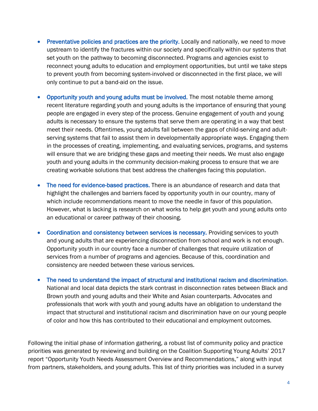- Preventative policies and practices are the priority. Locally and nationally, we need to move upstream to identify the fractures within our society and specifically within our systems that set youth on the pathway to becoming disconnected. Programs and agencies exist to reconnect young adults to education and employment opportunities, but until we take steps to prevent youth from becoming system-involved or disconnected in the first place, we will only continue to put a band-aid on the issue.
- Opportunity youth and young adults must be involved. The most notable theme among recent literature regarding youth and young adults is the importance of ensuring that young people are engaged in every step of the process. Genuine engagement of youth and young adults is necessary to ensure the systems that serve them are operating in a way that best meet their needs. Oftentimes, young adults fall between the gaps of child-serving and adultserving systems that fail to assist them in developmentally appropriate ways. Engaging them in the processes of creating, implementing, and evaluating services, programs, and systems will ensure that we are bridging these gaps and meeting their needs. We must also engage youth and young adults in the community decision-making process to ensure that we are creating workable solutions that best address the challenges facing this population.
- The need for evidence-based practices. There is an abundance of research and data that highlight the challenges and barriers faced by opportunity youth in our country, many of which include recommendations meant to move the needle in favor of this population. However, what is lacking is research on what works to help get youth and young adults onto an educational or career pathway of their choosing.
- Coordination and consistency between services is necessary. Providing services to youth and young adults that are experiencing disconnection from school and work is not enough. Opportunity youth in our country face a number of challenges that require utilization of services from a number of programs and agencies. Because of this, coordination and consistency are needed between these various services.
- The need to understand the impact of structural and institutional racism and discrimination. National and local data depicts the stark contrast in disconnection rates between Black and Brown youth and young adults and their White and Asian counterparts. Advocates and professionals that work with youth and young adults have an obligation to understand the impact that structural and institutional racism and discrimination have on our young people of color and how this has contributed to their educational and employment outcomes.

Following the initial phase of information gathering, a robust list of community policy and practice priorities was generated by reviewing and building on the Coalition Supporting Young Adults' 2017 report "Opportunity Youth Needs Assessment Overview and Recommendations," along with input from partners, stakeholders, and young adults. This list of thirty priorities was included in a survey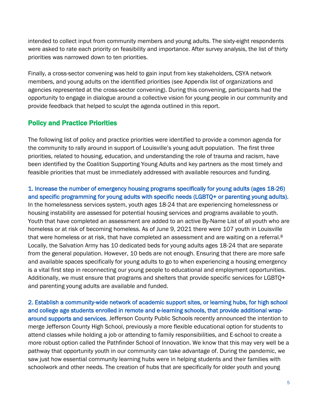intended to collect input from community members and young adults. The sixty-eight respondents were asked to rate each priority on feasibility and importance. After survey analysis, the list of thirty priorities was narrowed down to ten priorities.

Finally, a cross-sector convening was held to gain input from key stakeholders, CSYA network members, and young adults on the identified priorities (see Appendix list of organizations and agencies represented at the cross-sector convening). During this convening, participants had the opportunity to engage in dialogue around a collective vision for young people in our community and provide feedback that helped to sculpt the agenda outlined in this report.

### Policy and Practice Priorities

The following list of policy and practice priorities were identified to provide a common agenda for the community to rally around in support of Louisville's young adult population. The first three priorities, related to housing, education, and understanding the role of trauma and racism, have been identified by the Coalition Supporting Young Adults and key partners as the most timely and feasible priorities that must be immediately addressed with available resources and funding.

1. Increase the number of emergency housing programs specifically for young adults (ages 18-26) and specific programming for young adults with specific needs (LGBTQ+ or parenting young adults). In the homelessness services system, youth ages 18-24 that are experiencing homelessness or housing instability are assessed for potential housing services and programs available to youth. Youth that have completed an assessment are added to an active By-Name List of all youth who are homeless or at risk of becoming homeless. As of June 9, 2021 there were 107 youth in Louisville that were homeless or at risk, that have completed an assessment and are waiting on a referral.<sup>8</sup> Locally, the Salvation Army has 10 dedicated beds for young adults ages 18-24 that are separate from the general population. However, 10 beds are not enough. Ensuring that there are more safe and available spaces specifically for young adults to go to when experiencing a housing emergency is a vital first step in reconnecting our young people to educational and employment opportunities. Additionally, we must ensure that programs and shelters that provide specific services for LGBTQ+ and parenting young adults are available and funded.

2. Establish a community-wide network of academic support sites, or learning hubs, for high school and college age students enrolled in remote and e-learning schools, that provide additional wraparound supports and services. Jefferson County Public Schools recently announced the intention to merge Jefferson County High School, previously a more flexible educational option for students to attend classes while holding a job or attending to family responsibilities, and E-school to create a more robust option called the Pathfinder School of Innovation. We know that this may very well be a pathway that opportunity youth in our community can take advantage of. During the pandemic, we saw just how essential community learning hubs were in helping students and their families with schoolwork and other needs. The creation of hubs that are specifically for older youth and young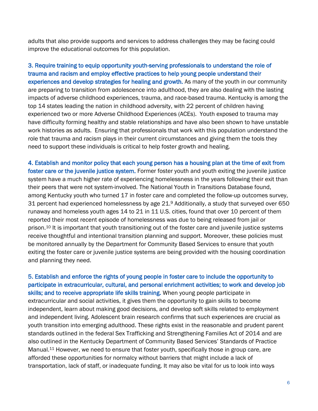adults that also provide supports and services to address challenges they may be facing could improve the educational outcomes for this population.

3. Require training to equip opportunity youth-serving professionals to understand the role of trauma and racism and employ effective practices to help young people understand their experiences and develop strategies for healing and growth. As many of the youth in our community are preparing to transition from adolescence into adulthood, they are also dealing with the lasting impacts of adverse childhood experiences, trauma, and race-based trauma. Kentucky is among the top 14 states leading the nation in childhood adversity, with 22 percent of children having experienced two or more Adverse Childhood Experiences (ACEs). Youth exposed to trauma may have difficulty forming healthy and stable relationships and have also been shown to have unstable work histories as adults. Ensuring that professionals that work with this population understand the role that trauma and racism plays in their current circumstances and giving them the tools they need to support these individuals is critical to help foster growth and healing.

4. Establish and monitor policy that each young person has a housing plan at the time of exit from foster care or the juvenile justice system. Former foster youth and youth exiting the juvenile justice system have a much higher rate of experiencing homelessness in the years following their exit than their peers that were not system-involved. The National Youth in Transitions Database found, among Kentucky youth who turned 17 in foster care and completed the follow-up outcomes survey, 31 percent had experienced homelessness by age 21.<sup>9</sup> Additionally, a study that surveyed over 650 runaway and homeless youth ages 14 to 21 in 11 U.S. cities, found that over 10 percent of them reported their most recent episode of homelessness was due to being released from jail or prison. <sup>10</sup> It is important that youth transitioning out of the foster care and juvenile justice systems receive thoughtful and intentional transition planning and support. Moreover, these policies must be monitored annually by the Department for Community Based Services to ensure that youth exiting the foster care or juvenile justice systems are being provided with the housing coordination and planning they need.

5. Establish and enforce the rights of young people in foster care to include the opportunity to participate in extracurricular, cultural, and personal enrichment activities; to work and develop job skills; and to receive appropriate life skills training. When young people participate in extracurricular and social activities, it gives them the opportunity to gain skills to become independent, learn about making good decisions, and develop soft skills related to employment and independent living. Adolescent brain research confirms that such experiences are crucial as youth transition into emerging adulthood. These rights exist in the reasonable and prudent parent standards outlined in the federal Sex Trafficking and Strengthening Families Act of 2014 and are also outlined in the Kentucky Department of Community Based Services' Standards of Practice Manual.<sup>11</sup> However, we need to ensure that foster youth, specifically those in group care, are afforded these opportunities for normalcy without barriers that might include a lack of transportation, lack of staff, or inadequate funding. It may also be vital for us to look into ways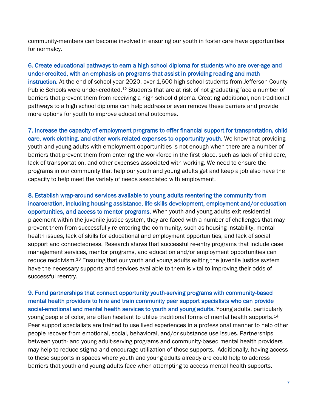community-members can become involved in ensuring our youth in foster care have opportunities for normalcy.

#### 6. Create educational pathways to earn a high school diploma for students who are over-age and under-credited, with an emphasis on programs that assist in providing reading and math instruction. At the end of school year 2020, over 1,600 high school students from Jefferson County

Public Schools were under-credited.<sup>12</sup> Students that are at risk of not graduating face a number of barriers that prevent them from receiving a high school diploma. Creating additional, non-traditional pathways to a high school diploma can help address or even remove these barriers and provide more options for youth to improve educational outcomes.

7. Increase the capacity of employment programs to offer financial support for transportation, child care, work clothing, and other work-related expenses to opportunity youth. We know that providing youth and young adults with employment opportunities is not enough when there are a number of barriers that prevent them from entering the workforce in the first place, such as lack of child care, lack of transportation, and other expenses associated with working. We need to ensure the programs in our community that help our youth and young adults get and keep a job also have the capacity to help meet the variety of needs associated with employment.

8. Establish wrap-around services available to young adults reentering the community from incarceration, including housing assistance, life skills development, employment and/or education opportunities, and access to mentor programs. When youth and young adults exit residential placement within the juvenile justice system, they are faced with a number of challenges that may prevent them from successfully re-entering the community, such as housing instability, mental health issues, lack of skills for educational and employment opportunities, and lack of social support and connectedness. Research shows that successful re-entry programs that include case management services, mentor programs, and education and/or employment opportunities can reduce recidivism.<sup>13</sup> Ensuring that our youth and young adults exiting the juvenile justice system have the necessary supports and services available to them is vital to improving their odds of successful reentry.

9. Fund partnerships that connect opportunity youth-serving programs with community-based mental health providers to hire and train community peer support specialists who can provide social-emotional and mental health services to youth and young adults. Young adults, particularly young people of color, are often hesitant to utilize traditional forms of mental health supports.<sup>14</sup> Peer support specialists are trained to use lived experiences in a professional manner to help other people recover from emotional, social, behavioral, and/or substance use issues. Partnerships between youth- and young adult-serving programs and community-based mental health providers may help to reduce stigma and encourage utilization of those supports. Additionally, having access to these supports in spaces where youth and young adults already are could help to address barriers that youth and young adults face when attempting to access mental health supports.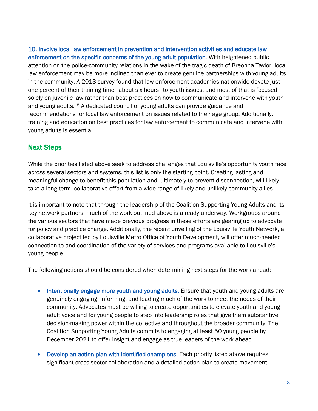10. Involve local law enforcement in prevention and intervention activities and educate law enforcement on the specific concerns of the young adult population. With heightened public attention on the police-community relations in the wake of the tragic death of Breonna Taylor, local law enforcement may be more inclined than ever to create genuine partnerships with young adults in the community. A 2013 survey found that law enforcement academies nationwide devote just one percent of their training time—about six hours—to youth issues, and most of that is focused solely on juvenile law rather than best practices on how to communicate and intervene with youth and young adults. <sup>15</sup> A dedicated council of young adults can provide guidance and recommendations for local law enforcement on issues related to their age group. Additionally, training and education on best practices for law enforcement to communicate and intervene with young adults is essential.

#### Next Steps

While the priorities listed above seek to address challenges that Louisville's opportunity youth face across several sectors and systems, this list is only the starting point. Creating lasting and meaningful change to benefit this population and, ultimately to prevent disconnection, will likely take a long-term, collaborative effort from a wide range of likely and unlikely community allies.

It is important to note that through the leadership of the Coalition Supporting Young Adults and its key network partners, much of the work outlined above is already underway. Workgroups around the various sectors that have made previous progress in these efforts are gearing up to advocate for policy and practice change. Additionally, the recent unveiling of the Louisville Youth Network, a collaborative project led by Louisville Metro Office of Youth Development, will offer much-needed connection to and coordination of the variety of services and programs available to Louisville's young people.

The following actions should be considered when determining next steps for the work ahead:

- Intentionally engage more youth and young adults. Ensure that youth and young adults are genuinely engaging, informing, and leading much of the work to meet the needs of their community. Advocates must be willing to create opportunities to elevate youth and young adult voice and for young people to step into leadership roles that give them substantive decision-making power within the collective and throughout the broader community. The Coalition Supporting Young Adults commits to engaging at least 50 young people by December 2021 to offer insight and engage as true leaders of the work ahead.
- Develop an action plan with identified champions. Each priority listed above requires significant cross-sector collaboration and a detailed action plan to create movement.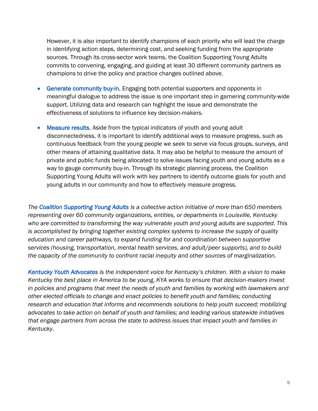However, it is also important to identify champions of each priority who will lead the charge in identifying action steps, determining cost, and seeking funding from the appropriate sources. Through its cross-sector work teams, the Coalition Supporting Young Adults commits to convening, engaging, and guiding at least 30 different community partners as champions to drive the policy and practice changes outlined above.

- Generate community buy-in. Engaging both potential supporters and opponents in meaningful dialogue to address the issue is one important step in garnering community-wide support. Utilizing data and research can highlight the issue and demonstrate the effectiveness of solutions to influence key decision-makers.
- Measure results. Aside from the typical indicators of youth and young adult disconnectedness, it is important to identify additional ways to measure progress, such as continuous feedback from the young people we seek to serve via focus groups, surveys, and other means of attaining qualitative data. It may also be helpful to measure the amount of private and public funds being allocated to solve issues facing youth and young adults as a way to gauge community buy-in. Through its strategic planning process, the Coalition Supporting Young Adults will work with key partners to identify outcome goals for youth and young adults in our community and how to effectively measure progress.

*The Coalition Supporting Young Adults is a collective action initiative of more than 650 members representing over 60 community organizations, entities, or departments in Louisville, Kentucky who are committed to transforming the way vulnerable youth and young adults are supported. This is accomplished by bringing together existing complex systems to increase the supply of quality education and career pathways, to expand funding for and coordination between supportive services (housing, transportation, mental health services, and adult/peer supports), and to build the capacity of the community to confront racial inequity and other sources of marginalization.* 

*Kentucky Youth Advocates is the independent voice for Kentucky's children. With a vision to make Kentucky the best place in America to be young, KYA works to ensure that decision-makers invest in policies and programs that meet the needs of youth and families by working with lawmakers and other elected officials to change and enact policies to benefit youth and families; conducting research and education that informs and recommends solutions to help youth succeed; mobilizing advocates to take action on behalf of youth and families; and leading various statewide initiatives that engage partners from across the state to address issues that impact youth and families in Kentucky.*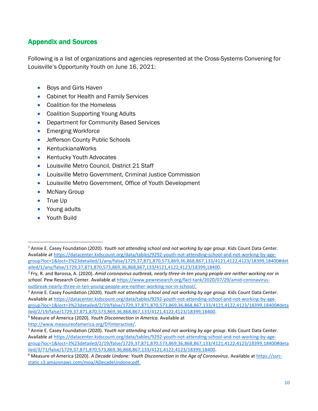# Appendix and Sources

Following is a list of organizations and agencies represented at the Cross-Systems Convening for Louisville's Opportunity Youth on June 16, 2021:

- Boys and Girls Haven
- Cabinet for Health and Family Services
- Coalition for the Homeless
- Coalition Supporting Young Adults
- Department for Community Based Services
- Emerging Workforce
- Jefferson County Public Schools
- KentuckianaWorks
- Kentucky Youth Advocates
- Louisville Metro Council, District 21 Staff
- Louisville Metro Government, Criminal Justice Commission
- Louisville Metro Government, Office of Youth Development
- McNary Group
- True Up
- Young adults
- Youth Build

<sup>1</sup> Annie E. Casey Foundation (2020). *Youth not attending school and not working by age group*. Kids Count Data Center. Available a[t https://datacenter.kidscount.org/data/tables/9292-youth-not-attending-school-and-not-working-by-age](https://datacenter.kidscount.org/data/tables/9292-youth-not-attending-school-and-not-working-by-age-group?loc=1&loct=3%23detailed/1/any/false/1729,37,871,870,573,869,36,868,867,133/4121,4122,4123/18399,18400#detailed/1/any/false/1729,37,871,870,573,869,36,868,867,133/4121,4122,4123/18399,18400)[group?loc=1&loct=3%23detailed/1/any/false/1729,37,871,870,573,869,36,868,867,133/4121,4122,4123/18399,18400#det](https://datacenter.kidscount.org/data/tables/9292-youth-not-attending-school-and-not-working-by-age-group?loc=1&loct=3%23detailed/1/any/false/1729,37,871,870,573,869,36,868,867,133/4121,4122,4123/18399,18400#detailed/1/any/false/1729,37,871,870,573,869,36,868,867,133/4121,4122,4123/18399,18400) [ailed/1/any/false/1729,37,871,870,573,869,36,868,867,133/4121,4122,4123/18399,18400.](https://datacenter.kidscount.org/data/tables/9292-youth-not-attending-school-and-not-working-by-age-group?loc=1&loct=3%23detailed/1/any/false/1729,37,871,870,573,869,36,868,867,133/4121,4122,4123/18399,18400#detailed/1/any/false/1729,37,871,870,573,869,36,868,867,133/4121,4122,4123/18399,18400)

<sup>2</sup> Fry, R. and Barossa, A. (2020). *Amid coronavirus outbreak, nearly three-in-ten young people are neither working nor in school.* Pew Research Center. Available at [https://www.pewresearch.org/fact-tank/2020/07/29/amid-coronavirus](https://www.pewresearch.org/fact-tank/2020/07/29/amid-coronavirus-outbreak-nearly-three-in-ten-young-people-are-neither-working-nor-in-school/)[outbreak-nearly-three-in-ten-young-people-are-neither-working-nor-in-school/.](https://www.pewresearch.org/fact-tank/2020/07/29/amid-coronavirus-outbreak-nearly-three-in-ten-young-people-are-neither-working-nor-in-school/)

<sup>3</sup> Annie E. Casey Foundation (2020). *Youth not attending school and not working by age group*. Kids Count Data Center. Available a[t https://datacenter.kidscount.org/data/tables/9292-youth-not-attending-school-and-not-working-by-age](https://datacenter.kidscount.org/data/tables/9292-youth-not-attending-school-and-not-working-by-age-group?loc=1&loct=3%23detailed/2/19/false/1729,37,871,870,573,869,36,868,867,133/4121,4122,4123/18399,18400#detailed/2/19/false/1729,37,871,870,573,869,36,868,867,133/4121,4122,4123/18399,18400)[group?loc=1&loct=3%23detailed/2/19/false/1729,37,871,870,573,869,36,868,867,133/4121,4122,4123/18399,18400#deta](https://datacenter.kidscount.org/data/tables/9292-youth-not-attending-school-and-not-working-by-age-group?loc=1&loct=3%23detailed/2/19/false/1729,37,871,870,573,869,36,868,867,133/4121,4122,4123/18399,18400#detailed/2/19/false/1729,37,871,870,573,869,36,868,867,133/4121,4122,4123/18399,18400) [iled/2/19/false/1729,37,871,870,573,869,36,868,867,133/4121,4122,4123/18399,18400.](https://datacenter.kidscount.org/data/tables/9292-youth-not-attending-school-and-not-working-by-age-group?loc=1&loct=3%23detailed/2/19/false/1729,37,871,870,573,869,36,868,867,133/4121,4122,4123/18399,18400#detailed/2/19/false/1729,37,871,870,573,869,36,868,867,133/4121,4122,4123/18399,18400)

<sup>4</sup> Measure of America (2020). *Youth Disconnection in America.* Available at

[http://www.measureofamerica.org/DYinteractive/.](http://www.measureofamerica.org/DYinteractive/)

<sup>5</sup> Annie E. Casey Foundation (2020). *Youth not attending school and not working by age group*. Kids Count Data Center. Available at [https://datacenter.kidscount.org/data/tables/9292-youth-not-attending-school-and-not-working-by-age](https://datacenter.kidscount.org/data/tables/9292-youth-not-attending-school-and-not-working-by-age-group?loc=1&loct=3%23detailed/2/19/false/1729,37,871,870,573,869,36,868,867,133/4121,4122,4123/18399,18400#detailed/3/71/false/1729,37,871,870,573,869,36,868,867,133/4121,4122,4123/18399,18400)[group?loc=1&loct=3%23detailed/2/19/false/1729,37,871,870,573,869,36,868,867,133/4121,4122,4123/18399,18400#deta](https://datacenter.kidscount.org/data/tables/9292-youth-not-attending-school-and-not-working-by-age-group?loc=1&loct=3%23detailed/2/19/false/1729,37,871,870,573,869,36,868,867,133/4121,4122,4123/18399,18400#detailed/3/71/false/1729,37,871,870,573,869,36,868,867,133/4121,4122,4123/18399,18400) [iled/3/71/false/1729,37,871,870,573,869,36,868,867,133/4121,4122,4123/18399,18400.](https://datacenter.kidscount.org/data/tables/9292-youth-not-attending-school-and-not-working-by-age-group?loc=1&loct=3%23detailed/2/19/false/1729,37,871,870,573,869,36,868,867,133/4121,4122,4123/18399,18400#detailed/3/71/false/1729,37,871,870,573,869,36,868,867,133/4121,4122,4123/18399,18400)

<sup>6</sup> Measure of America (2020). *A Decade Undone: Youth Disconnection in the Age of Coronavirus*. Available at [https://ssrc](https://ssrc-static.s3.amazonaws.com/moa/ADecadeUndone.pdf)[static.s3.amazonaws.com/moa/ADecadeUndone.pdf.](https://ssrc-static.s3.amazonaws.com/moa/ADecadeUndone.pdf)